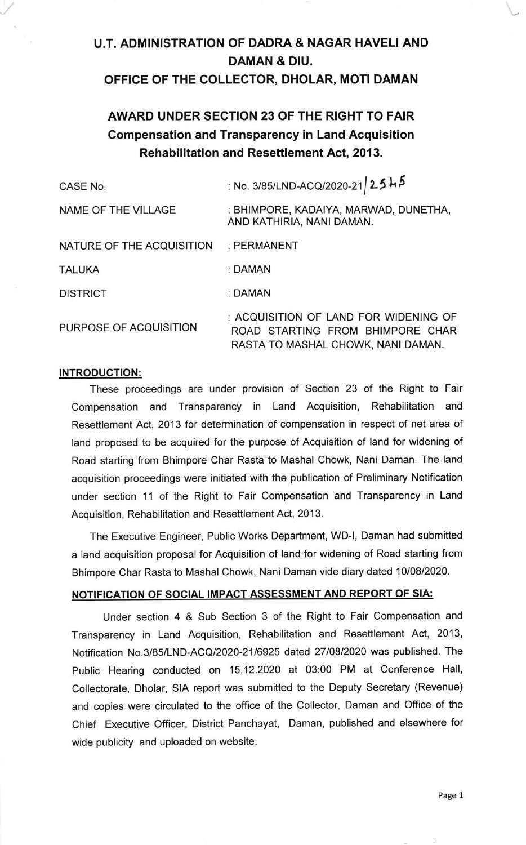# U.T. ADMINISTRATION OF DADRA & NAGAR HAVELI AND DAMAN & DIU.

## OFFICE OF THE COLLECTOR, DHOLAR, MOTI DAMAN

## AWARD UNDER SECTION 23 OF THE RIGHT TO FAIR Compensation and Transparency in Land Acquisition Rehabilitation and Resettlement Act, 2013.

| CASE No.                  | : No. 3/85/LND-ACQ/2020-21 2545                                                                                 |
|---------------------------|-----------------------------------------------------------------------------------------------------------------|
| NAME OF THE VILLAGE       | : BHIMPORE, KADAIYA, MARWAD, DUNETHA,<br>AND KATHIRIA, NANI DAMAN.                                              |
| NATURE OF THE ACQUISITION | : PERMANENT                                                                                                     |
| <b>TALUKA</b>             | : DAMAN                                                                                                         |
| <b>DISTRICT</b>           | : DAMAN                                                                                                         |
| PURPOSE OF ACQUISITION    | : ACQUISITION OF LAND FOR WIDENING OF<br>ROAD STARTING FROM BHIMPORE CHAR<br>RASTA TO MASHAL CHOWK, NANI DAMAN. |

#### INTRODUCTION:

These proceedings are under provision of Section 23 of the Right to Fair Compensation and Transparency in Land Acquisition, Rehabilitation and Resettlement Act, 2013 for determination of compensation in respect of net area of land proposed to be acquired for the purpose of Acquisition of land for widening of Road starting from Bhimpore Char Rasta to Mashal Chowk, Nani Daman. The land acquisition proceedings were initiated with the publication of Preliminary Notification under section 11 of the Right to Fair Compensation and Transparency in Land Acquisition, Rehabilitation and Resettlement Act, 2013.

The Executive Engineer, Public Works Department, WD-1, Daman had submitted a land acquisition proposal for Acquisition of land for widening of Road starting from Bhimpore Char Rasta to Mashal Chowk, Nani Daman vide diary dated 10/08/2020.

#### NOTIFICATION OF SOCIAL IMPACT ASSESSMENT AND REPORT OF SIA:

Under section 4 & Sub Section 3 of the Right to Fair Compensation and Transparency in Land Acquisition, Rehabilitation and Resettlement Act, 2013, Notification No.3/85/LND-ACQ/2020-2116925 daled 2710812020 was published. The Public Hearing conducted on 15.12.2020 at 03:00 PM at Conference Hall, Collectorate, Dholar, SIA report was submitted to the Deputy Secretary (Revenue) and copies were circulated to the office of the Collector, Daman and Office of the Chief Executive Officer, District Panchayat, Daman, published and elsewhere for wide publicity and uploaded on website.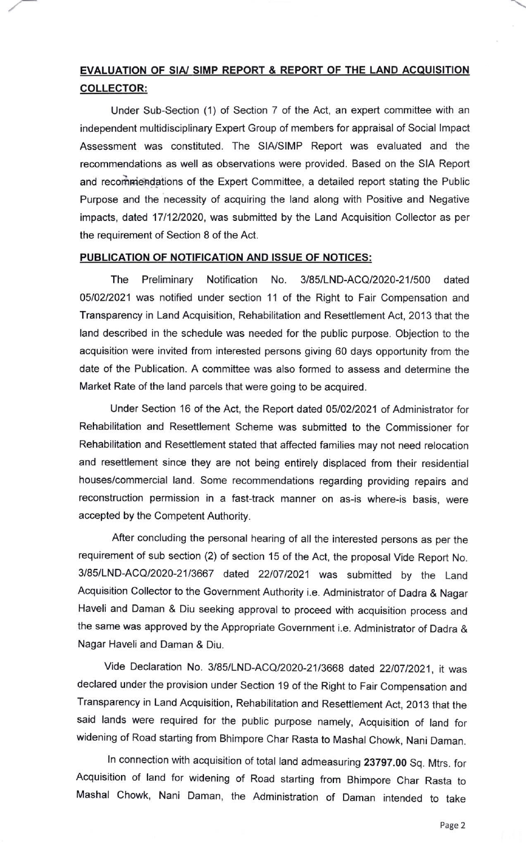## EVALUATION OF SIA/ SIMP REPORT & REPORT OF THE LAND ACQUISITION COLLECTOR:

Under Sub-Section (1) of Section 7 of the Act, an expert committee with an independent multidisciplinary Expert Group of members for appraisal of Social lmpact Assessment was constituted. The SIA/SIMP Report was evaluated and the recommendations as well as observations were provided. Based on the SIA Report and recommendations of the Expert Committee, a detailed report stating the Public Purpose and the necessity of acquiring the land along with Positive and Negative impacts, dated 1711212020, was submitted by the Land Acquisition Collector as per the requirement of Section 8 of the Act.

#### PUBLICATION OF NOTIFICATION AND ISSUE OF NOTICES:

The Preliminary Notification No. 3/85/LND-ACQ/2020-211500 dated 0510212021 was notified under section 11 of the Right to Fair Compensation and Transparency in Land Acquisition, Rehabilitation and Resettlement Act, 2013 that the land described in the schedule was needed for the public purpose. Objection to the acquisition were invited from interested persons giving 60 days opportunity from the date of the Publication. A committee was also formed to assess and determine the Market Rate of the land parcels that were going to be acquired.

Under Section 16 of the Act, the Report dated 0510212021 of Administrator for Rehabilitation and Resettlement Scheme was submitted to the Commissioner for Rehabilitation and Resettlement stated that affected families may not need relocation and resettlement since they are not being entirely displaced from their residential houses/commercial land. Some recommendations regarding providing repairs and reconstruction permission in a fast-track manner on as-is where-is basis, were accepted by the Competent Authority.

After concluding the personal hearing of all the interested persons as per the requirement of sub section (2) of section 15 of the Act, the proposal Vide Report No. 3/85/LND-ACQ/2020-21/3667 dated 22/07/2021 was submitted by the Land Acquisition Collector to the Government Authority i.e. Administrator of Dadra & Nagar Haveli and Daman & Diu seeking approval to proceed with acquisition process and the same was approved by the Appropriate Government i.e. Administrator of Dadra & Nagar Haveli and Daman & Oiu.

Vide Declaration No. 3/85/LND-ACQ/2020-21/3668 dated 22/07/2021, it was declared under the provision under Section 19 of the Right to Fair Compensation and Transparency in Land Acquisition, Rehabjlitation and Resetflement Act, 2013 that the said lands were required for the public purpose namely, Acquisition of land for widening of Road starting from Bhimpore Char Rasta to Mashal Chowk, Nani Daman.

ln connection with acquisition of total land admeasuring 23797.00 Sq. Mtrs. for Acquisition of land for widening of Road starting from Bhimpore Char Rasta to Mashal Chowk, Nani Daman, the Administration of Daman intended to take